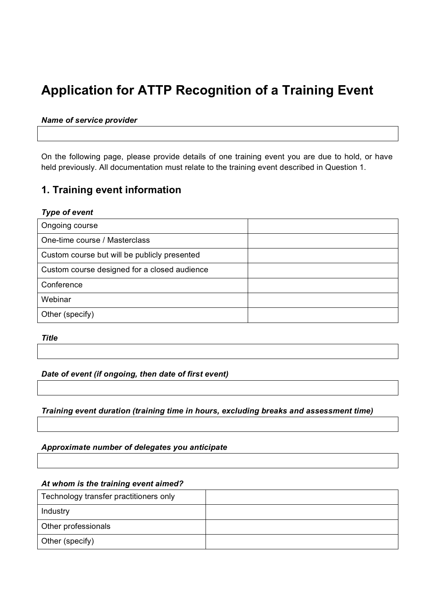# **Application for ATTP Recognition of a Training Event**

#### *Name of service provider*

On the following page, please provide details of one training event you are due to hold, or have held previously. All documentation must relate to the training event described in Question 1.

# **1. Training event information**

#### *Type of event*

| Ongoing course                               |  |
|----------------------------------------------|--|
| One-time course / Masterclass                |  |
| Custom course but will be publicly presented |  |
| Custom course designed for a closed audience |  |
| Conference                                   |  |
| Webinar                                      |  |
| Other (specify)                              |  |

*Title* 

#### *Date of event (if ongoing, then date of first event)*

*Training event duration (training time in hours, excluding breaks and assessment time)*

*Approximate number of delegates you anticipate* 

#### *At whom is the training event aimed?*

| Technology transfer practitioners only |  |
|----------------------------------------|--|
| Industry                               |  |
| Other professionals                    |  |
| Other (specify)                        |  |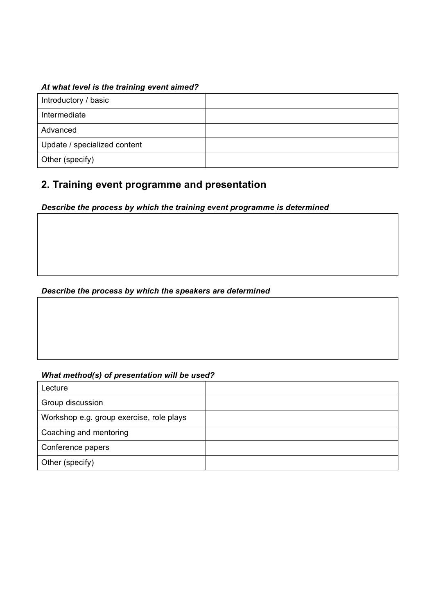## *At what level is the training event aimed?*

| Introductory / basic         |  |
|------------------------------|--|
| Intermediate                 |  |
| Advanced                     |  |
| Update / specialized content |  |
| Other (specify)              |  |

# **2. Training event programme and presentation**

### *Describe the process by which the training event programme is determined*

### *Describe the process by which the speakers are determined*

### *What method(s) of presentation will be used?*

| Lecture                                  |  |
|------------------------------------------|--|
| Group discussion                         |  |
| Workshop e.g. group exercise, role plays |  |
| Coaching and mentoring                   |  |
| Conference papers                        |  |
| Other (specify)                          |  |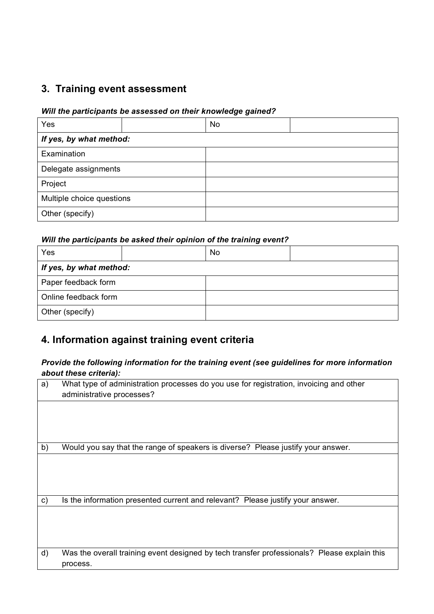# **3. Training event assessment**

#### *Will the participants be assessed on their knowledge gained?*

| Yes                       |  | <b>No</b> |  |
|---------------------------|--|-----------|--|
| If yes, by what method:   |  |           |  |
| Examination               |  |           |  |
| Delegate assignments      |  |           |  |
| Project                   |  |           |  |
| Multiple choice questions |  |           |  |
| Other (specify)           |  |           |  |

#### *Will the participants be asked their opinion of the training event?*

| Yes                     | No |  |
|-------------------------|----|--|
| If yes, by what method: |    |  |
| Paper feedback form     |    |  |
| Online feedback form    |    |  |
| Other (specify)         |    |  |

# **4. Information against training event criteria**

### *Provide the following information for the training event (see guidelines for more information about these criteria):*

| administrative processes?                                                                   |
|---------------------------------------------------------------------------------------------|
|                                                                                             |
|                                                                                             |
| Would you say that the range of speakers is diverse? Please justify your answer.            |
|                                                                                             |
| Is the information presented current and relevant? Please justify your answer.              |
|                                                                                             |
| Was the overall training event designed by tech transfer professionals? Please explain this |
|                                                                                             |
|                                                                                             |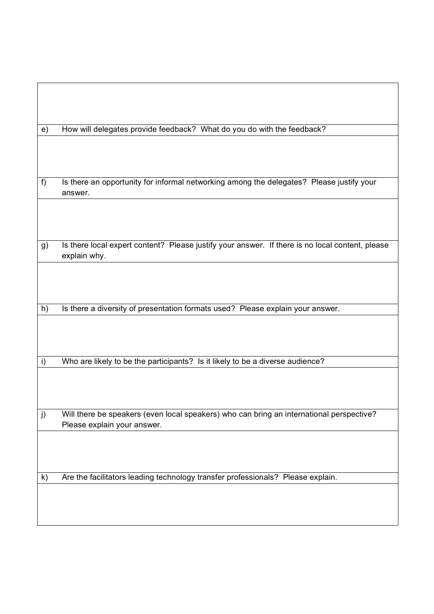| e) | How will delegates provide feedback? What do you do with the feedback?                          |
|----|-------------------------------------------------------------------------------------------------|
|    |                                                                                                 |
|    |                                                                                                 |
|    |                                                                                                 |
|    |                                                                                                 |
| f  | Is there an opportunity for informal networking among the delegates? Please justify your        |
|    | answer.                                                                                         |
|    |                                                                                                 |
|    |                                                                                                 |
|    |                                                                                                 |
| g) | Is there local expert content? Please justify your answer. If there is no local content, please |
|    | explain why.                                                                                    |
|    |                                                                                                 |
|    |                                                                                                 |
|    |                                                                                                 |
|    |                                                                                                 |
| h) | Is there a diversity of presentation formats used? Please explain your answer.                  |
|    |                                                                                                 |
|    |                                                                                                 |
|    |                                                                                                 |
| i) | Who are likely to be the participants? Is it likely to be a diverse audience?                   |
|    |                                                                                                 |
|    |                                                                                                 |
|    |                                                                                                 |
|    |                                                                                                 |
| j) | Will there be speakers (even local speakers) who can bring an international perspective?        |
|    | Please explain your answer.                                                                     |
|    |                                                                                                 |
|    |                                                                                                 |
|    |                                                                                                 |
| k) | Are the facilitators leading technology transfer professionals? Please explain.                 |
|    |                                                                                                 |
|    |                                                                                                 |
|    |                                                                                                 |
|    |                                                                                                 |